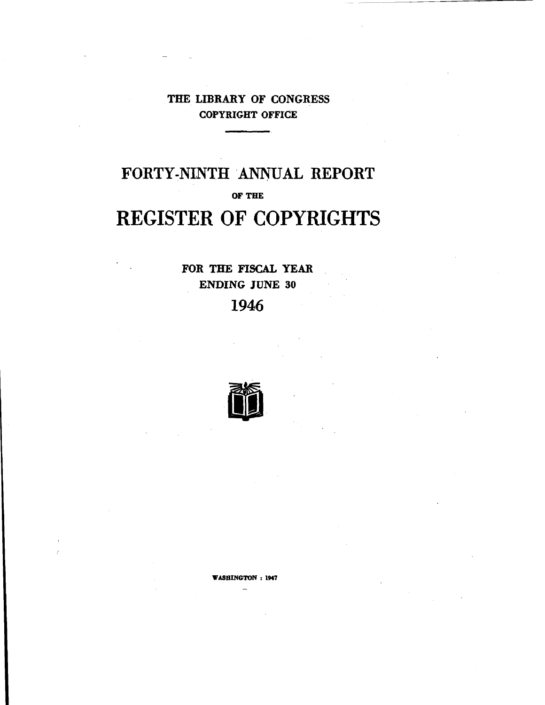### **THE LIBRARY OF CONGRESS COPYRIGHT OFFICE**

# **FORTY-NINTH ANNUAL REPORT OF THE REGISTER OF COPYRIGHTS**

**FOR THE FISCAL YEAR ENDING JUNE 30** 1946



**WASHINGTON: 1947**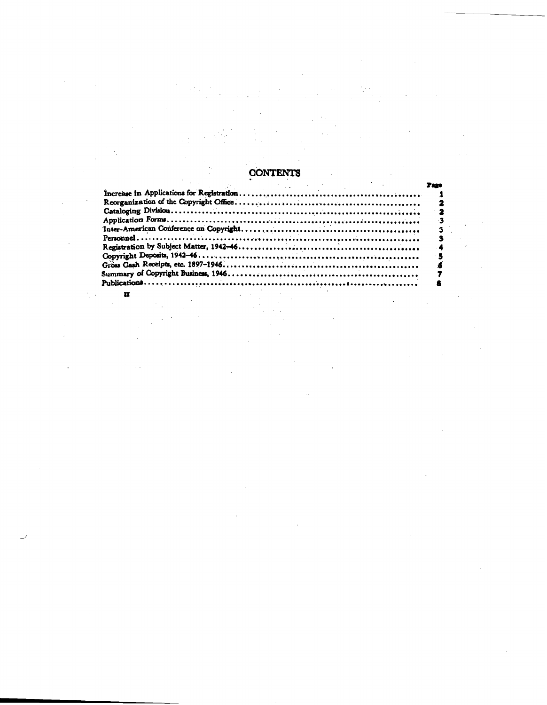## CONTENTS

 $\overline{\mathbf{u}}$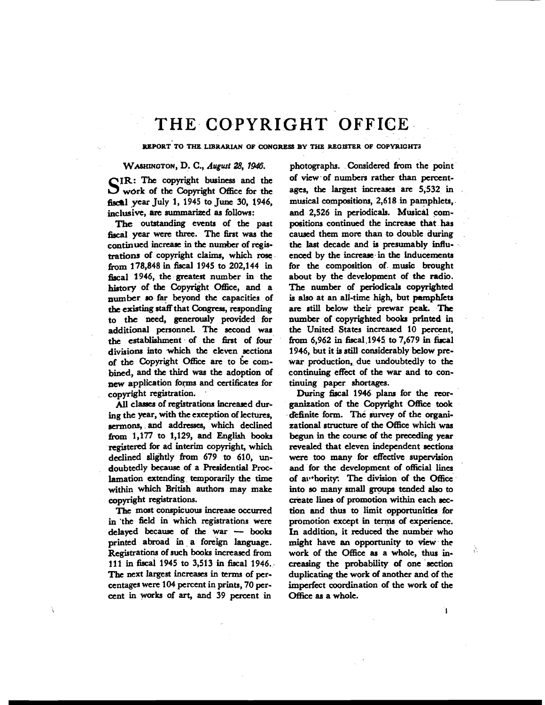## THE COPYRIGHT OFFICE

REPORT TO **THE LIBRARUN** OF CONGRESS BY THE REGISTER OF COPYRIGHT3

### WASHINGTON, D. C., *August* **28, 1946.** photographs. Considered from the point

S IR: **The** copyright business and the work of the Copyright Office for the fiscal year July 1, 1945 to June 30, 1946, inclusive, are summarized as follows:

The outstanding events of the past fiscal year were three. The first was the continued increase in **thc** number of registrations of copyright claims, which rose from 178,848 in fiscal 1945 to 202,144 in fiscal 1946, the greatest number in the history of the Copyright Office, and a number so far beyond the capacities of &= existing **staff** that **Congress,** responding to the need, generously provided for additional personnel. **The** second war **the** establishment of **the** first of four divisions into which the eleven sections of the Copyright Oflice **arc** to **6c** combined, and **the** third **was** the adoption of new application forms and certificates for copyright registration.

**All** classes of registrations increased during the year, with the exception of lectures, sermons, and addresses, which declined hm 1,177 to 1,129, and **English books**  registered for ad interim copyright, which declined dightly from 679 to 610, undoubtedly **because** of a Residential **Proc**lamation extending temporarily the time within which British authors may make copyright registrations.

**Thc** most conspicuous increase occurred in 'the field in which registrations were The most conspicuous increase occurred<br>in the field in which registrations were<br>delayed because of the war -- books<br>whited abond in a foreign language printed abroad in a foreign language. Registrations of such **books** increased from 111 in fiscal 1945 to 3,513 in fiscal 1946. The next largest increases in terms of percentages were 104 percent in prints, 70 percent in works of art, and 39 percent in

of view.of numbers rather than percentages, **thc** largest increases are 5,532 in musical compositions, 2,618 in pamphlets, and 2,526 in periodicals. Musical compositions continued the increase that has caused them more than to double during **the** last decade and is presumably influenced by the increase in **the** inducements for **the** composition of music brought about by the development of the radio. The number of periodicals copyrighted **is** also at an all-time high, but pamphlets are still below their prewar peak. The number of copyrighted **books** printed in **the** United States increased 10 percent, from  $6.962$  in fiscal  $1945$  to  $7.679$  in fiscal 1946, but it **is still** considerably below prewar production, due undoubtedly to **the**  continuing effect of the war and to continuing paper shortages.

During fiscal 1946 plans for the reorganization of the Copyright Office **took**  definite form. **The survey** of the organizational structure of the Office which **was**  begun in the course of the preceding year revealed that eleven independent sections **were too** many for effective supervision and for **the** development of official lines of av\*hority: The division of the Office into so many small groups tended also to create lines of promotion within each **sec**tion and thus to limit opportunities for promotion except in terms of experience. In addition, it reduced the number who might have **an** opportunity to **view** the work of the Office as a whole, thus in**creasing** the probability of one section duplicating the work of another and of the imperfect coordination of the work of the Office as a whole.

À.

Ĩ.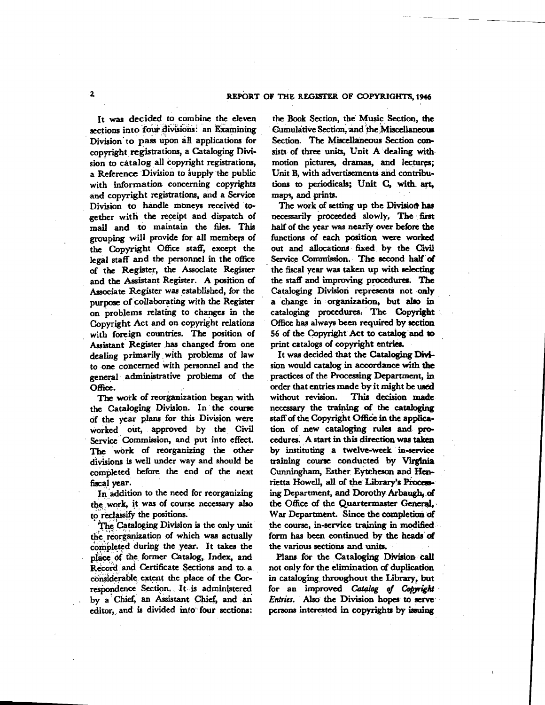It was decided to combine the eleven sections into four divisions: an Examining Division' to **pass** upon all applications for copyright registrations, a Cataloging Division to catalog all copyright registrations, a Reference Division to supply the public with information concerning copyrights and copyright registrations, and a Service Division to handle moneys received toether with the receipt and dispatch of mail and to maintain the files. This grouping will provide for all members of the Copyright Office staff, except the legal staff and the personnel in the office of the Register, the Associate **Register**  and the Assistant Register. **A** position of Associate Register was established, for the purpose of collaborating with the Register on problems relating to changes in the Copyright Act and on copyright relations with foreign countries. The position of Assistant Register has changed from one dealing primarily with problems of law to one concerned with personnel and the general administrative problems of the **Office.** 

The work of reorganization began with the Cataloging Division. In the course of the year plans for this Division were worked out, approved by the Civil Service Commission, and put into effect. The work of reorganizing the other divisions is well under way and should be completed before the end of the next fiscal **yeat.** 

In addition to the need for reorganizing the work, it was of course necessary **also**  to reclassify the positions.

The Cataloging Division is the only unit the reorganization of which was actually completed during the year. It takes the place **df the** former Catalog, Index, and Record **and** Certificate Sections and to a considerable extent the place of the Correspondence Section. It is administered by a Chief, an Assistant Chief, and an editor, and **ie** divided into' four sections:

**the Book** Section, the Music Section, the Gumulative Section, and the Miscellaneous Section. The Miscellaneous Section consists of **three** units, Unit A dealing with motion pictures, dramas, and *lectures*: Unit B, with advertisements and contributions to periodicals; **Unit** *C,* with. **art,**  maps, and prints.

The work of setting up the Division has necessarily proceeded slowly. The first half of the year was nearly **over** before the functions of each position were worked out and allocations fixed by the Civil **Service** Commission. **The** second **half of**  the fiscal year was taken up with selecting the staff and improving procedures. The Cataloging Division represents not only a **change** in organization, but also in cataloging procedurea. **The** Copyright Office has always been required by section 56 of the Copyright Act to **catdog** and **to**  print catalogs of copyright entries.

It was decided that the Cataloging Division would catalog in accordance with the practices of the Processing Department, in<br>
order that entries made by it might be used<br>
without unvision. This design mode without revision. This decision made necessary the training of the cataloging staff of the Copyright Office in the application of new cataloging **rula** and procedures. **A** start in this **direction** was taken by instituting a twelve-week in-service **training** courst conducted by **VirgSnia**  Cunningham, Esther **Eytcheson** and **Hen**by instituting a twelve-week in-service<br>training course conducted by Virginia<br>Cunningham, Esther Eytcheson and Hen-<br>rietta Howell, all of the Library's Process-<br>ing Department, and Dorothy Arbaugh, of ing Department, **and** Dorothy **Arbaugh, of**  the Office of the Quartermaster **General,**  War Department. Since the completion of the course, in-service **trajniag** in **modified**  form **has been** continued by the **heads of**  the various sections and **units.** 

Plana for the Cataloging Division call not only for the elimination of duplication in cataloging throughout the Library, but for an improved Catalog of Copyright *Entries.* Also the Division hopes to serve **persons** interested in **copyrights** by **issuing**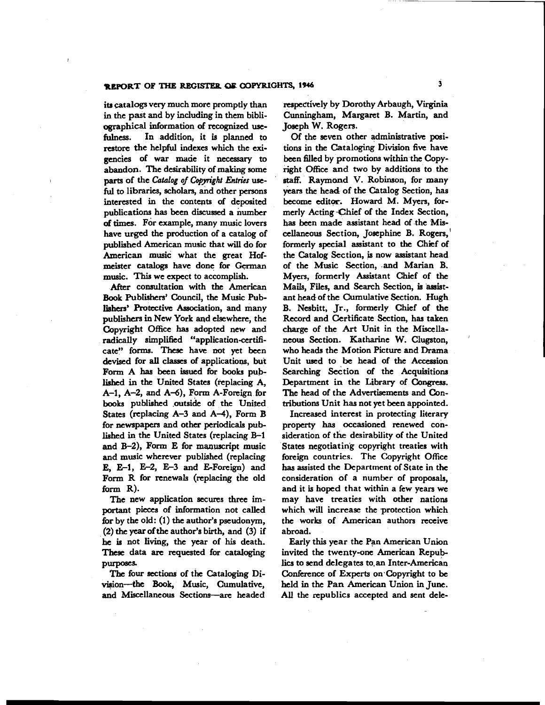### **REPORT OF THE RECISI'EB OP OPYRIGHTS, 1946 <sup>3</sup>**

ita catalogs very much more promptly than in the past and by including in them bibliographical information **of** recognized **usefulness.** In addition, it is planned to restore the helpful indexes which the exigencies of war made it necessary to abandon. The desirability of making some parts of the *Catalog* **qf** Copyright *Entries* useful to libraries, scholars, and other persons interested in the contents of deposited publications has been discussed a number **of** times. For example, **many** music lovers have urged the production of a catalog of published American music that **will** do for American music what the great Hofmister **catalogs** have done for **German**  music. **This** we expect to accomplish.

After consultation with **the** American Book Publishers' Council, the Music Publishers' Protective Association, and many publishers in New York and elsewhere, the Copyright Office has adopted new and radically simplified "application-certificate" forms. These have not yet been devised for **all** classes of applications, but Form A has been issued for books published in **the** United States (replacing A,  $A-1$ ,  $A-2$ , and  $A-6$ ), Form  $A$ -Foreign for books published outside of the United States (replacing  $A-3$  and  $A-4$ ), Form B for newspapers and other periodicals published in the United States (replacing B-1 and  $B-2$ ), Form E for manuscript music and music wherever published (replacing **E**, **E-1**, **E-2**, **E-3** and **E-Foreign**) and Form R for renewals (replacing the old form R).

The new application secures three important pieces of information not called hr by the old: (1) **the** author's pseudonym, (2) **the ycar** of the author's birth, and (3) if he is not living, the **ycar** of his death. Thcse data are requested for cataloging purposes.

**Thc** four sections of the Cataloging Division-the Book, Music, Cumulative, and Miscellaneous Sections-arc headed

respectively by Dorothy Arbaugh, Virginia Cunningham, Margaret B. Martin, and Joseph W. Rogers.

Of the even other administrative positions in the Cataloging Division five have been filled by promotions within the Copyright Office and two by additions to the **staff.** Raymond V. Robinson, for many years the head of the Catalog Section, has become editor. Howard M. Myers, formerly Acting -Chief of the Index Section, has been made assistant head of the Miscellaneous Section, Josephine B. Rogers,' formerly special assistant to **the** Chief of the Catalog Section, is now assistant head of the Music Section, and Marian B. Myers, formerly Assistant Chief of the Mails, Files, and Search Section, is assistant headof the Cumulative Section. Hugh B. Nesbitt, Jr., formerly Chief of the Record and Certificate Section, has taken charge of the **Art** Unit in the Miscellaneous Section. Katharine W. Clugston, who heads the Motion Picture and Drama Unit used to be head of **the** Accession Searching Section of the Acquisitions Department in the Library of Congress. The head of the Advertisements and Contributions Unit **has** not yet been appointed.

Increased interest in protecting literary property **has** occasioned renewed consideration of the desirability of the United States negotiating copyright treaties with foreign countries. The Copyright Ofice has assisted the Department of State in the consideration of a number of proposals, and it is hoped that within a few years we may have treaties with other nations which will increase the protection which the works of American authors receive abroad.

Early this year the Pan American Union invited the twenty-one American Repub**lics** to send delegates to.an Inter-American Conference of Experts on Copyright to be held in the Pan American Union in June. All the republics accepted and sent dele-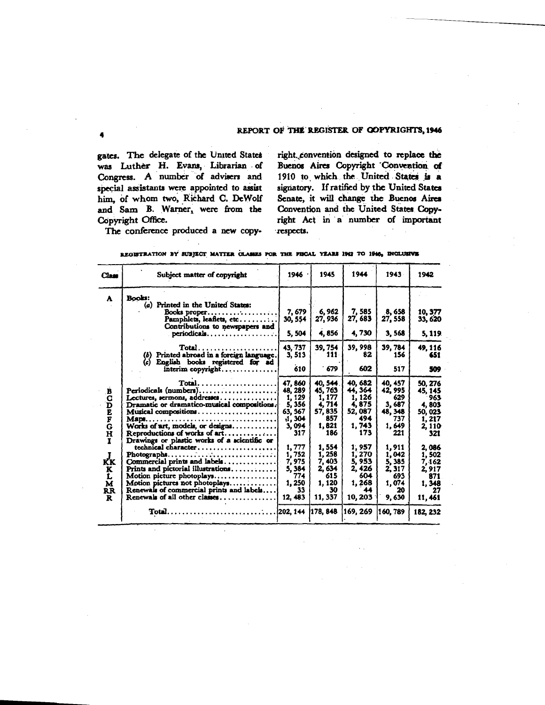#### REPORT OF THE REGISTER OF COPYRIGHTS, 1946

gates. The delegate of the United States was Luther H. Evans, Librarian of Congress. A number of advisers and special assistants were appointed to assist him, of whom two, Richard C. DeWolf and Sam B. Warner, were from the Copyright Office.

right convention designed to replace the Buenos Aires Copyright Convention of 1910 to which the United States is a signatory. If ratified by the United States Senate, it will change the Buenos Aires Convention and the United States Copyright Act in a number of important respects.

The conference produced a new copy-

| Class          | Subject matter of copyright                                                | 1946        | 1945         | 1944        | 1943        | 1942         |
|----------------|----------------------------------------------------------------------------|-------------|--------------|-------------|-------------|--------------|
| A              | <b>Books:</b>                                                              |             |              |             |             |              |
|                | (a) Printed in the United States:                                          |             |              |             |             |              |
|                | Books proper                                                               | 7,679       | 6,962        | 7, 585      | 8,658       | 10.377       |
|                | Pamphlets, leaflets, etc                                                   | 30, 554     | 27, 936      | 27, 683     | 27, 558     | 33.620       |
|                | Contributions to newspapers and                                            |             | 4.856        | 4,730       |             |              |
|                | $periodicals$                                                              | 5.504       |              |             | 3,568       | 5, 119.      |
|                | $Total.$                                                                   | 43, 737     | 39, 754      | 39,998      | 39, 784     | 49, 116      |
|                | Printed abroad in a foreign language.<br>(b)                               | 3, 513      | 111          | 82          | 156         | 651          |
|                | English books registered for ad<br>(c)                                     |             |              |             |             |              |
|                | interim copyright                                                          | 610         | 679          | 602         | 517         | 509          |
|                |                                                                            |             |              |             |             |              |
|                | $Total.$                                                                   | 47, 860     | 40, 544      | 40, 682     | 40, 457     | 50, 276      |
| B              | Periodicals (numbers)                                                      | 48, 289     | 45, 763      | 44, 364     | 42, 995     | 45, 145      |
| C              | Lectures, sermons, addresses                                               | 1, 129      | 1, 177       | 1, 126      | 629         | 963          |
| D              | Dramatic or dramatico-musical compositions.                                | 5,356       | 4, 714       | 4,875       | 3,687       | 4,803        |
|                | Musical compositions                                                       | 63, 367     | 57, 835      | 52, 087     | 48, 348     | 50.023       |
| E<br>F<br>G    |                                                                            | 1,304       | 857          | 494         | 737         | 1, 217       |
|                | Works of $art$ , models, or designs                                        | 3,094       | 1,821        | 1,743       | 1,649       | 2, 110       |
| H              | Reproductions of works of art                                              | 317         | 186          | 173         | 221         | 321          |
| Ŧ              | Drawings or plastic works of a scientific or                               |             |              |             |             |              |
|                | technical character                                                        | 1,777       | 1,554        | 1, 957      | 1,911       | 2,086        |
|                | $\mathbf{Photogram}$                                                       | 1,752       | 1, 258       | 1,270       | 1,042       | 1, 502       |
| КK             | Commercial prints and labels                                               | 7, 975      | 7,403        | 5, 953      | 5, 385      | 7, 162       |
| K              | Prints and pictorial illustrations                                         | 5, 384      | 2, 634       | 2,426       | 2, 317      | 2,917        |
| L              | Motion picture photoplays                                                  | 774         | 615          | 604         | 693         | 871          |
| M              | Motion pictures not photoplays<br>Renewals of commercial prints and labels | 1,250<br>33 | 1, 120<br>30 | 1,268<br>44 | 1,074<br>20 | 1, 348<br>27 |
| <b>RR</b><br>R | Renewals of all other classes                                              | 12, 483     | 11, 337      | 10,203      | 9,630       |              |
|                |                                                                            |             |              |             |             | 11, 461      |
|                |                                                                            |             |              |             | 160, 789    | 182, 232     |
|                |                                                                            |             |              |             |             |              |

| REGISTRATION BY SUBJECT MATTER CLASSES FOR THE FISCAL YEARS 1942 TO 1946, INCLUSIVE |
|-------------------------------------------------------------------------------------|
|-------------------------------------------------------------------------------------|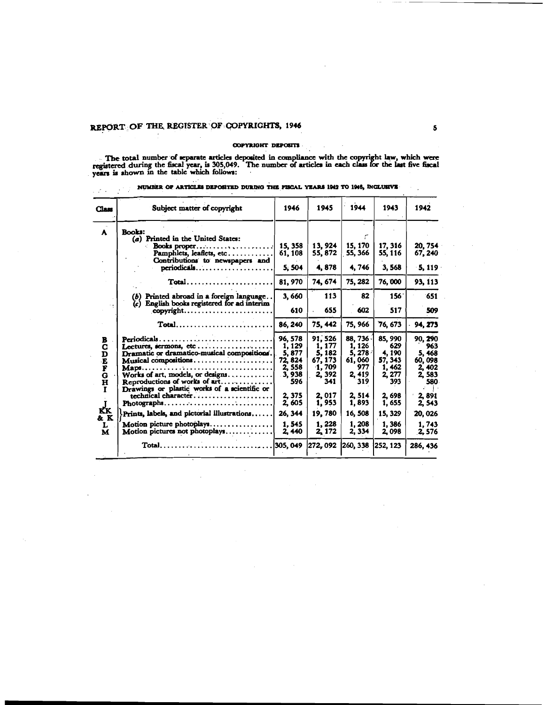### REPORT OF THE REGISTER OF COPYRIGHTS, 1946

 $\label{eq:2.1} \mathbb{E}[\mathcal{L}(\mathcal{A})] = \mathbb{E}[\mathcal{L}(\mathcal{A})]$ 

### COPYRIGHT DEPOSITS

The total number of separate articles deposited in compliance with the copyright law, which were registered during the fiscal year, is 305,049. The number of articles in each class for the last five fiscal years is shown i

| Class                                                                 | Subject matter of copyright                                                                                                                                                                                                                                             | 1946                                                                               | 1945                                                                                | 1944                                                                           | 1943                                                                             | 1942                                                                        |
|-----------------------------------------------------------------------|-------------------------------------------------------------------------------------------------------------------------------------------------------------------------------------------------------------------------------------------------------------------------|------------------------------------------------------------------------------------|-------------------------------------------------------------------------------------|--------------------------------------------------------------------------------|----------------------------------------------------------------------------------|-----------------------------------------------------------------------------|
| A                                                                     | <b>Books:</b><br>(a) Printed in the United States:<br>Books proper<br>Pamphlets, leaflets, etc<br>Contributions to newspapers and                                                                                                                                       | 15, 358<br>61, 108                                                                 | 13.924<br>55, 872                                                                   | 15, 170<br>55, 366                                                             | 17, 316<br>55, 116                                                               | 20, 754<br>67, 240                                                          |
|                                                                       | $periodicals$                                                                                                                                                                                                                                                           | 5, 504                                                                             | 4,878                                                                               | 4,746                                                                          | 3, 568                                                                           | $-5, 119$                                                                   |
|                                                                       | Total                                                                                                                                                                                                                                                                   | 81, 970                                                                            | 74, 674                                                                             | 75, 282                                                                        | 76,000                                                                           | 93, 113                                                                     |
|                                                                       | $(b)$ Printed abroad in a foreign language<br>$(c)$ English books registered for ad interim-                                                                                                                                                                            | 3,660                                                                              | 113                                                                                 | 82                                                                             | 156 <sup>°</sup>                                                                 | 651                                                                         |
|                                                                       | copyright                                                                                                                                                                                                                                                               | 610                                                                                | 655                                                                                 | 602                                                                            | 517                                                                              | 509                                                                         |
|                                                                       | $Total$                                                                                                                                                                                                                                                                 | 86, 240                                                                            | 75, 442                                                                             | 75, 966                                                                        | 76, 673                                                                          | 94, 273                                                                     |
| В<br>C<br>D<br>E<br>F<br>G<br>$\overline{\mathbf{H}}$<br>$\mathbf{r}$ | Periodicals<br>Lectures, sermons, etc<br>Dramatic or dramatico-musical compositions.<br>Musical compositions<br>Works of art, models, or designs<br>Reproductions of works of art<br>Drawings or plastic works of a scientific or<br>technical character<br>Photographs | 96, 578<br>1, 129<br>5,877<br>72, 824<br>2,558<br>3,938<br>596<br>2, 375<br>2, 605 | 91, 526<br>1, 177<br>5, 182<br>67, 173<br>1,709<br>2, 392<br>341<br>2,017<br>1, 953 | 88, 736<br>1, 126<br>5,278<br>61,060<br>977<br>2, 419<br>319<br>2,514<br>1,893 | 85, 990<br>629<br>4,190<br>57, 343<br>1, 462<br>2, 277<br>393<br>2,698<br>1, 655 | 90.290<br>963<br>5,468<br>60,098<br>2,402<br>2.583<br>580<br>2,891<br>2,543 |
| КK<br>& K                                                             | Prints, labels, and pictorial illustrations                                                                                                                                                                                                                             | 26, 344                                                                            | 19,780                                                                              | 16, 508                                                                        | 15, 329                                                                          | 20, 026                                                                     |
| L<br>M                                                                | Motion picture photoplays.<br>.<br>Motion pictures not photoplays                                                                                                                                                                                                       | 1.545<br>2,440                                                                     | 1,228<br>2, 172                                                                     | 1,208<br>2, 334                                                                | 1.386<br>2,098                                                                   | 1,743<br>2.576                                                              |
|                                                                       | $Total \ldots \ldots \ldots \ldots \ldots \ldots \ldots$                                                                                                                                                                                                                | 305, 049                                                                           | 272, 092                                                                            | 260, 338                                                                       | 252, 123                                                                         | 286, 436                                                                    |

NUMBER OF ARTICLES DEPOSITED DURING THE FISCAL YEARS 1942 TO 1946, INCLUSIVE

 $\overline{a}$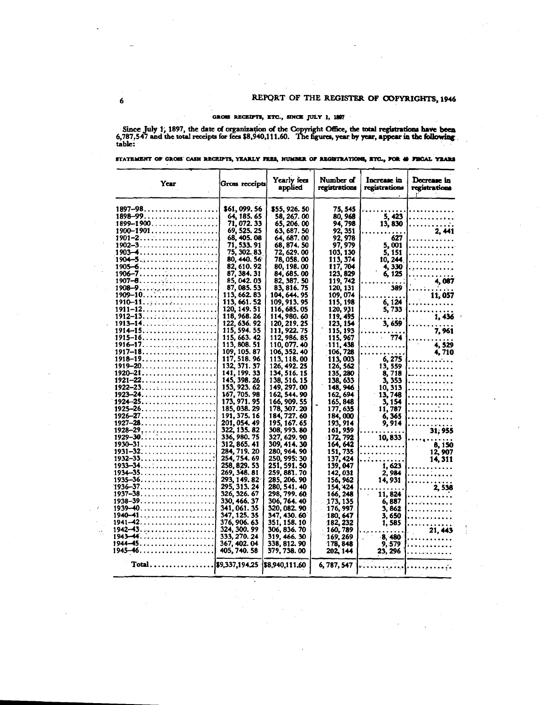### GROSS RECEIPTS, ETC., SINCE JULY 1, 1897

Since July 1, 1897, the date of organization of the Copyright Office, the total registrations have been 6,787.547 and the total receipts for fees  $$8,940,111.60$ . The figures, year by year, appear in the following table:

| STATEMENT OF GROSS CASH RECEIPTS, YEARLY FEES, NUMBER OF REGISTRATIONS, ETC., POR 49 FISCAL YEARS |  |  |  |  |
|---------------------------------------------------------------------------------------------------|--|--|--|--|
|                                                                                                   |  |  |  |  |

| Year                                                    | Gross receipts               | Yearly fees<br>applied       | Number of<br>registrations | Increase in<br>registrations | Decrease in<br>registrations<br>r. |
|---------------------------------------------------------|------------------------------|------------------------------|----------------------------|------------------------------|------------------------------------|
|                                                         | \$61, 099. 56                | \$55,926.50                  | 75, 545                    |                              |                                    |
| $1898 - 99 \dots \dots \dots \dots \dots \dots$         | 64, 185, 65                  | 58, 267. 00                  | 80, 968                    | 5. 423                       | .                                  |
| $1899 - 1900$                                           | 71.072.33                    | 65, 206, 00                  | 94, 798                    | 13, 830                      |                                    |
| $1900 - 1901 \ldots \ldots \ldots \ldots \ldots \ldots$ | 69, 525. 25                  | 63, 687. 50                  | 92, 351                    |                              | 2.441                              |
|                                                         | 68, 405. 08                  | 64, 687. 00                  | 92, 978                    | 627                          | .                                  |
|                                                         | 71, 533. 91                  | 68, 874. 50                  | 97, 979                    | 5, 001                       | .                                  |
| $1903 - 4$                                              | 75, 302. 83                  | 72, 629. 00                  | 103, 130                   | 5. 151                       | .                                  |
|                                                         | 80, 440. 56<br>82, 610. 92   | 78.058.00<br>80, 198.00      | 113, 374<br>117, 704       | 10, 244<br>4, 330            | .                                  |
|                                                         | 87, 384, 31                  | 84, 685. 00                  | 123, 829                   | 6, 125                       |                                    |
| 1907 <del>-8.</del>                                     | 85, 042, 03                  | 82, 387, 50                  | 119.742                    |                              | 4, 087                             |
|                                                         | 87, 085, 53                  | 83, 816. 75                  | 120, 131                   | 389                          |                                    |
| . <b>1909–10.</b>                                       | 113, 662. 83                 | 104, 644, 95                 | 109.074                    |                              | 11.057                             |
|                                                         | 113, 661. 52                 | 109, 913. 95                 | 115, 198                   | 6, 124                       |                                    |
|                                                         | 120, 149. 51                 | 116, 685. 05                 | 120, 931                   | 5, 733                       | .                                  |
|                                                         | 118, 968, 26                 | 114, 980. 60                 | 119, 495                   |                              | 1,436                              |
|                                                         | 122, 636. 92                 | 120, 219, 25                 | 123, 154                   | 3, 659                       |                                    |
|                                                         | 115, 594. 55                 | 111, 922. 75                 | 115, 193                   |                              | 7,961                              |
|                                                         | 115, 663. 42<br>113, 808, 51 | 112, 986, 85                 | 115, 967                   | 774                          |                                    |
| <u> 1916–17.</u>                                        | 109, 105. 87                 | 110, 077, 40<br>106, 352. 40 | 111, 438<br>106, 728       |                              | 4.529                              |
| $1918 - 19 \ldots \ldots \ldots$                        | 117, 518.96                  | 113, 118.00                  | 113,003                    | 6,275                        | 4,710<br>. <i>. .</i>              |
|                                                         | 132, 371, 37                 | 126, 492. 25                 | 126, 562                   | 13, 559                      | .                                  |
| $1920 - 21.$                                            | 141, 199, 33                 | 134, 516. 15                 | 135, 280                   | 8, 718                       | .                                  |
|                                                         | 145, 398. 26                 | 138, 516. 15                 | 138, 633                   | 3, 353                       | .                                  |
|                                                         | 153, 923. 62                 | 149, 297.00                  | 148.946                    | 10, 313                      | .                                  |
| <u> 1923–24.</u>                                        | 167, 705. 98                 | 162, 544.90                  | 162, 694                   | 13, 748                      | .                                  |
| 1924–25.                                                | 173, 971. 95                 | 166, 909. 55                 | 165, 848                   | 3, 154                       | .                                  |
| 1925–26.                                                | 185, 038, 29                 | 178, 307. 20                 | 177, 635                   | 11, 787                      | .                                  |
|                                                         | 191, 375. 16                 | 184, 727, 60                 | 184,000                    | 6,365                        | .                                  |
| $1927 - 28$<br>$1928 - 29.$                             | 201, 054.49<br>322, 135. 82  | 195, 167. 65<br>308, 993. 80 | 193, 914                   | 9, 914                       | . <i>.</i>                         |
| . . <i>.</i><br>$1929 - 30.$                            | 336, 980. 75                 | 327, 629, 90                 | 161, 959<br>172, 792       | 10,833                       | 31, 955                            |
| 1930–31.                                                | 312.865.41                   | 309, 414. 30                 | 164, 642                   | .                            | 8. 150<br>$\Delta \sim 10^4$       |
| $1931 - 32.$                                            | 284, 719. 20                 | 280, 964, 90                 | 151, 735                   |                              | 12, 907                            |
| $1932 - 33 \ldots \ldots \ldots \ldots$                 | 254, 754. 69                 | 250, 995: 30                 | 137, 424                   |                              | 14, 311                            |
| $1933 - 34.$                                            | 258, 829. 53                 | 251. 591. 50                 | 139,047                    | 1, 623                       | .                                  |
|                                                         | 269, 348, 81                 | 259, 881. 70                 | 142,031                    | 2,984                        | .                                  |
| $1935 - 36.$                                            | 293, 149, 82                 | 285, 206, 90                 | 156, 962                   | 14, 931                      | .                                  |
| .<br><b>1936–37.</b> .                                  | 295, 313. 24                 | 280, 541. 40                 | 154, 424                   |                              | 2,538                              |
| $1937 - 38 \ldots \ldots \ldots \ldots$                 | 326, 326, 67                 | 298, 799. 60                 | 166, 248                   | 11, 824                      |                                    |
| <u> 1938–39.</u><br>$1939 - 40$                         | 330, 466, 37                 | 306, 764. 40                 | 173, 135                   | 6, 887                       | .                                  |
|                                                         | 341, 061. 35<br>347, 125, 35 | 320.082.90<br>347, 430, 60   | 176, 997                   | 3, 862                       |                                    |
| $1941 - 42. \ldots \ldots \ldots \ldots \ldots$         | 376, 906. 63                 | 351, 158. 10                 | -180, 647<br>182, 232      | 3, 650<br>1,585              | .<br>.                             |
|                                                         | 324, 300, 99                 | 306, 836. 70                 | - 160.789                  |                              | 21, 443                            |
| $1943 - 44.$                                            | 333, 270. 24                 | 319, 466. 30                 | 169, 269                   | 8,480                        | .                                  |
|                                                         | 367, 402. 04                 | 338, 812.90                  | 178,848                    | 9, 579                       | المتمام والمتمالة                  |
|                                                         | 405, 740. 58                 | 379, 738. 00                 | 202, 144                   | 23, 296                      | .                                  |
| $Total \ldots \ldots$                                   |                              |                              | 6, 787, 547                | والمتحاجية                   |                                    |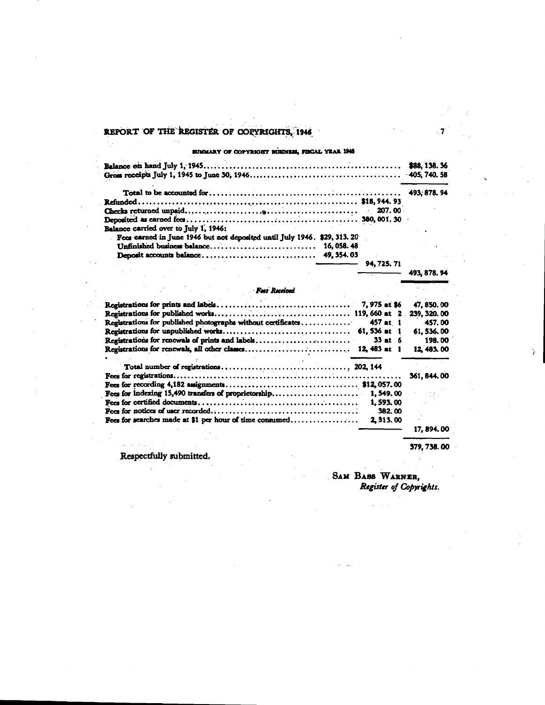### REPORT OF THE REGISTER OF COPYRIGHTS, 1946

SUMMARY OF COPYRIGHT BUSINESS, FISCAL YEAR 1946

| Balance carried over to July 1, 1946:                                     |  |
|---------------------------------------------------------------------------|--|
| Fees carned in June 1946 but not deposited until July 1946. \$29, 313. 20 |  |
| Unfinished business balance 16, 058.48                                    |  |
| the process of the control of the control                                 |  |
| $ 94.725$ 71                                                              |  |

Fees Received Registrations for prints and labels................................. 7,975 at \$6 47, 850.00 239, 320.00 Registrations for published photographs without certificates.............  $457$  at 1 457.00 61, 536 at 1 61, 536.00 Registrations for renewals of prints and labels..........................  $33$  at 6 198.00 12, 483.00 361, 844.00 1,593.00 382.00 Fees for searches made at \$1 per hour of time consumed................. 2, 313.00 17, 894.00

Respectfully submitted.

SAM BASS WARNER.

379, 738.00

493, 878. 94

Ÿ.

## Register of Copyrights.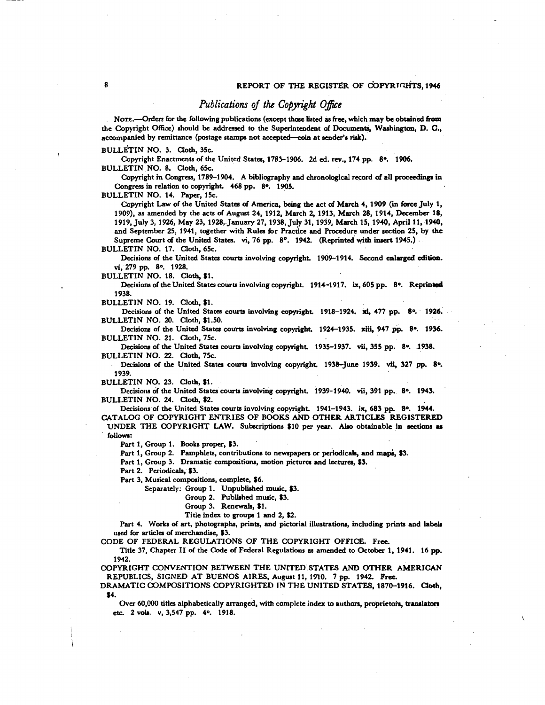### *Publications of the Copyright Office*

NOTE.--Orders for the following publications (except those listed as free, which may be obtained from the Copyright Office) should be addressed to the Superintendent **of Documents,** Washingtony D. C., accompanied by remittance (postage stamps not accepted-coin at sender's risk).

BULLETIN NO. 3. Cloth, 35c.

Copyright Enactments of the United States, 1783-1906. 2d ed. rev., 174 pp. 8°. 1906. BULLETIN NO. 8. Cloth, 65c.

Copyright in Congress, 1789-1904. A bibliography and chronological record of all proceedings in Congress in relation to copyright. 468 pp. 8°. 1905.

BULLETIN NO. 14. Paper, 15c.

Copyright Law of the United States of America, being the act of March 4, 1909 (in force July 1, 1909), as amended by the acts of August 24, 1912, March 2, 1913, March 28, 1914, December 18, 1919, July 3, 1926, May 23, 1928, January 27, 1938, July 31, 1939, March 15, 1940, April 11, 1940, and September 25, 1941, together with Rule for Practice and Procedure under section 25, by **the**  Supreme Court of the United States. vi, 76 pp. 8°. 1942. (Reprinted with insert 1945.)

BULLETIN NO. 17. Cloth, 65c.

Decisions of the United States courts involving copyright. 1909-1914. Second enlarged edition. vi, 279 pp. 8°. 1928.

BULLETIN NO. 18. Cloth, \$1.

Decisions of the United States courts involving copyright. 1914-1917. ix, 605 pp. 8°. Reprinted 1938.

BULLETIN NO. 19. Cloth, \$1.

Decisions of the United States courts involving copyright. 1918-1924. xi, 477 pp. 8°. 1926. BULLETIN NO. 20. Cloth, \$1.50.

Decisions of the United States courts involving copyright. 1924-1935. xiii, 947 pp. 8°. 1936. BULLETIN NO. 21. Cloth, 75c.

Decisions of the United Statcs courta involving copyright. 1935-1937. **vii,** 355 pp. 8u. .1938. BULLETIN NO. 22. Cloth, 75c.

Decisions of the United States courts involving copyright. 1938-June 1939. vii, 327 pp. 8<sup>0</sup>. 1939.

BULLETIN NO. 23. Cloth, \$1.

Decisions of the United States courts involving copyright. 1939-1940. vii, 391 pp. 8°. 1943. BULLETIN NO. 24. Cloth, \$2.

Decisions of the United Stata courts involving copyright. 1941-1943. **ix,** 683 pp. **80.** 1944.

CATALOG OF COPYRIGHT ENTRIES OF BOOKS AND OTHER ARTICLES REGISTERED UNDER THE COPYRIGHT LAW. Subscriptions \$10 per year. Also obtainable in sections as followe.:

Part 1, Group 1. Books proper, \$3.

Part 1, Group 2. Pamphlets, contributions to newspapers or periodicals, and maps, \$3.

Part 1, Group 3. Dramatic compositions, motion pictures and lectures, \$3.

Part 2. Periodicals, \$3.

Part 3, Musical compositions, complete, \$6.

Separately: Group 1. Unpublished music, \$3.

Group 2. Published music, \$3.

Group 3. Renewals, \$1.

Title index to groups 1 and 2, \$2.

Part 4. Works of art, photographs, prints, and pictorial illustrations, including prints and labels used for articles of merchandise, \$3.

CODE OF FEDERAL REGULATIONS OF THE COPYRIGHT OFFICE. Free.

Title 37, Chapter I1 of the Code of Federal Regulations **as** amended to **October** 1. 1941. 16 **pp.**  1942.

COPYRIGHT CONVENTION BETWEEN THE UNITED STATES AND OTHER AMERICAN REPUBLICS, SIGNED AT BUENOS AIRES, August 11, 1910. 7 pp. 1942. Free.

DRAMATIC COMPOSITIONS COPYRIGHTED **IN** THE UNITED STATES, 1870-1916. **Cloth,**  \$4.

Over 60,000 titles alphabetically arranged, with complete index to authors, proprietors, translators **a.** 2 vol. v, 3,547 pp. 40. 1918.